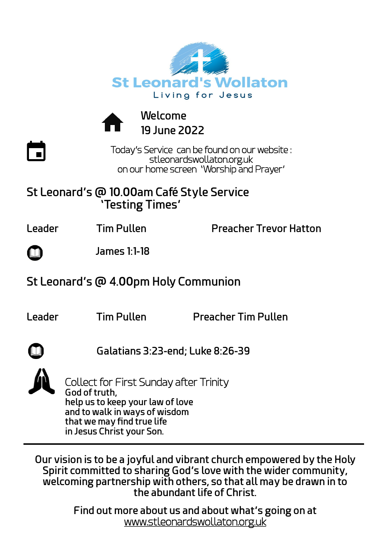



**Welcome 19 June 2022**

Today's Service can be found on our website : stleonardswollaton.org.uk on our home screen 'Worship and Prayer'

### **St Leonard's @ 10.00am Café Style Service 'Testing Times'**

 $\overline{\phantom{a}}$ 

**Leader** Tim Pullen Preacher Trevor Hatton

 **James 1:1-18**

## **St Leonard's @ 4.00pm Holy Communion**

**Leader Tim Pullen Preacher Tim Pullen**

 **Galatians 3:23-end; Luke 8:26-39**

Collect for First Sunday after Trinity **God of truth, help us to keep your law of love and to walk in ways of wisdom that we may find true life in Jesus Christ your Son.**

**Our vision is to be a joyful and vibrant church empowered by the Holy Spirit committed to sharing God's love with the wider community, welcoming partnership with others, so that all may be drawn in to the abundant life of Christ.**

> **Find out more about us and about what's going on at**  [www.stleonardswollaton.org.uk](http://www.stleonardswollaton.org.uk/)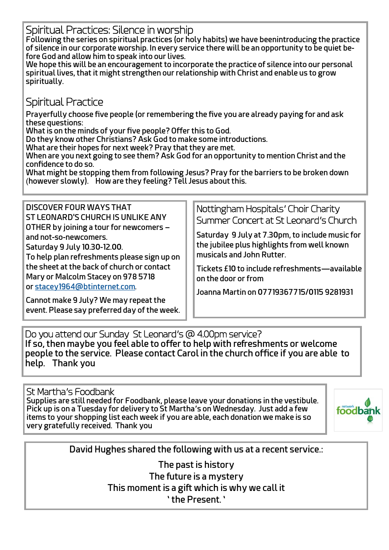Spiritual Practices: Silence in worship

**Following the series on spiritual practices (or holy habits) we have beenintroducing the practice of silence in our corporate worship. In every service there will be an opportunity to be quiet before God and allow him to speak into our lives.**

**We hope this will be an encouragement to incorporate the practice of silence into our personal spiritual lives, that it might strengthen our relationship with Christ and enable us to grow spiritually.**

#### Spiritual Practice

 **Prayerfully choose five people (or remembering the five you are already paying for and ask these questions:**

**What is on the minds of your five people? Offer this to God.**

**Do they know other Christians? Ask God to make some introductions.**

**What are their hopes for next week? Pray that they are met.**

**When are you next going to see them? Ask God for an opportunity to mention Christ and the confidence to do so.**

**What might be stopping them from following Jesus? Pray for the barriers to be broken down**  (**however slowly). How are they feeling? Tell Jesus about this.**

**DISCOVER FOUR WAYS THAT ST LEONARD'S CHURCH IS UNLIKE ANY OTHER by joining a tour for newcomers – and not-so-newcomers. Saturday 9 July 10.30-12.00.**

**To help plan refreshments please sign up on the sheet at the back of church or contact Mary or Malcolm Stacey on 978 5718 or [stacey1964@btinternet.com.](mailto:stacey1964@btinternet.com)** 

**Cannot make 9 July? We may repeat the event. Please say preferred day of the week.** Nottingham Hospitals' Choir Charity Summer Concert at St Leonard's Church

**Saturday 9 July at 7.30pm, to include music for the jubilee plus highlights from well known musicals and John Rutter.**

**Tickets £10 to include refreshments—available on the door or from**

**Joanna Martin on 07719367715/0115 9281931**

Do you attend our Sunday St Leonard's @ 4.00pm service? **If so, then maybe you feel able to offer to help with refreshments or welcome people to the service. Please contact Carol in the church office if you are able to help. Thank you**

St Martha's Foodbank **Supplies are still needed for Foodbank, please leave your donations in the vestibule. Pick up is on a Tuesday for delivery to St Martha's on Wednesday. Just add a few items to your shopping list each week if you are able, each donation we make is so very gratefully received. Thank you**



**David Hughes shared the following with us at a recent service.:**

**The past is history The future is a mystery This moment is a gift which is why we call it ' the Present. '**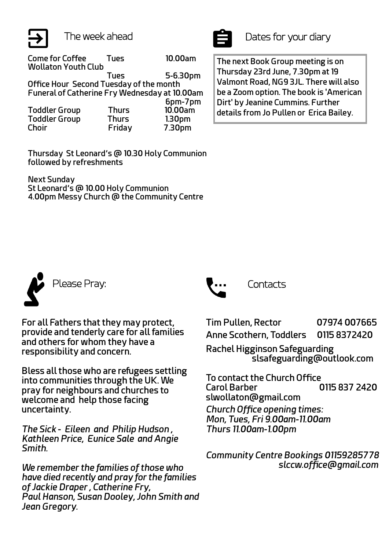

**Come for Coffee Tues 10.00am Wollaton Youth Club Tues 5-6.30pm Office Hour Second Tuesday of the month Funeral of Catherine Fry Wednesday at 10.00am 6pm-7pm Toddler Group Thurs 10.00am Toddler Group Thurs 1.30pm Choir Friday 7.30pm**

**Thursday St Leonard's @ 10.30 Holy Communion followed by refreshments** 

**Next Sunday St Leonard's @ 10.00 Holy Communion 4.00pm Messy Church @ the Community Centre**



The week ahead Dates for your diary

**The next Book Group meeting is on Thursday 23rd June, 7.30pm at 19 Valmont Road, NG9 3JL. There will also be a Zoom option. The book is 'American Dirt' by Jeanine Cummins. Further details from Jo Pullen or Erica Bailey.** 



**For all Fathers that they may protect, provide and tenderly care for all families and others for whom they have a responsibility and concern.**

**Bless all those who are refugees settling into communities through the UK. We pray for neighbours and churches to welcome and help those facing uncertainty.**

*The Sick* **-** *Eileen and Philip Hudson , Kathleen Price, Eunice Sale and Angie Smith.*

*We remember the families of those who have died recently and pray for the families of Jackie Draper , Catherine Fry, Paul Hanson, Susan Dooley, John Smith and Jean Gregory.*



**Tim Pullen, Rector 07974 007665 Anne Scothern, Toddlers 0115 8372420 Rachel Higginson Safeguarding**

 **slsafeguarding@outlook.com**

**To contact the Church Office Carol Barber 0115 837 2420 slwollaton@gmail.com**

*Church Office opening times: Mon, Tues, Fri 9.00am-11.00am Thurs 11.00am-1.00pm*

*Community Centre Bookings 01159285778 slccw.office@gmail.com*